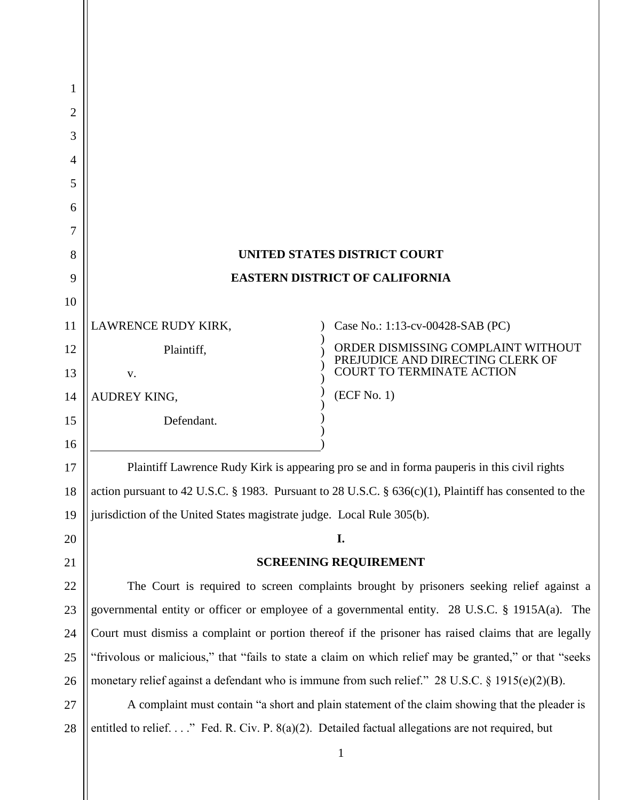| 1  |                                                                                                           |                                                                        |
|----|-----------------------------------------------------------------------------------------------------------|------------------------------------------------------------------------|
| 2  |                                                                                                           |                                                                        |
| 3  |                                                                                                           |                                                                        |
| 4  |                                                                                                           |                                                                        |
| 5  |                                                                                                           |                                                                        |
| 6  |                                                                                                           |                                                                        |
| 7  |                                                                                                           |                                                                        |
| 8  | UNITED STATES DISTRICT COURT                                                                              |                                                                        |
| 9  | <b>EASTERN DISTRICT OF CALIFORNIA</b>                                                                     |                                                                        |
| 10 |                                                                                                           |                                                                        |
| 11 | LAWRENCE RUDY KIRK,                                                                                       | Case No.: 1:13-cv-00428-SAB (PC)                                       |
| 12 | Plaintiff,                                                                                                | ORDER DISMISSING COMPLAINT WITHOUT<br>PREJUDICE AND DIRECTING CLERK OF |
| 13 | V.                                                                                                        | <b>COURT TO TERMINATE ACTION</b>                                       |
| 14 | AUDREY KING,                                                                                              | (ECF No. 1)                                                            |
| 15 | Defendant.                                                                                                |                                                                        |
| 16 |                                                                                                           |                                                                        |
| 17 | Plaintiff Lawrence Rudy Kirk is appearing pro se and in forma pauperis in this civil rights               |                                                                        |
| 18 | action pursuant to 42 U.S.C. § 1983. Pursuant to 28 U.S.C. § $636(c)(1)$ , Plaintiff has consented to the |                                                                        |
| 19 | jurisdiction of the United States magistrate judge. Local Rule 305(b).                                    |                                                                        |
| 20 |                                                                                                           | I.                                                                     |
| 21 | <b>SCREENING REQUIREMENT</b>                                                                              |                                                                        |
| 22 | The Court is required to screen complaints brought by prisoners seeking relief against a                  |                                                                        |
| 23 | governmental entity or officer or employee of a governmental entity. 28 U.S.C. § 1915A(a). The            |                                                                        |
| 24 | Court must dismiss a complaint or portion thereof if the prisoner has raised claims that are legally      |                                                                        |
| 25 | "frivolous or malicious," that "fails to state a claim on which relief may be granted," or that "seeks    |                                                                        |
| 26 | monetary relief against a defendant who is immune from such relief." 28 U.S.C. § 1915(e)(2)(B).           |                                                                        |
| 27 | A complaint must contain "a short and plain statement of the claim showing that the pleader is            |                                                                        |
| 28 | entitled to relief." Fed. R. Civ. P. $8(a)(2)$ . Detailed factual allegations are not required, but       |                                                                        |

1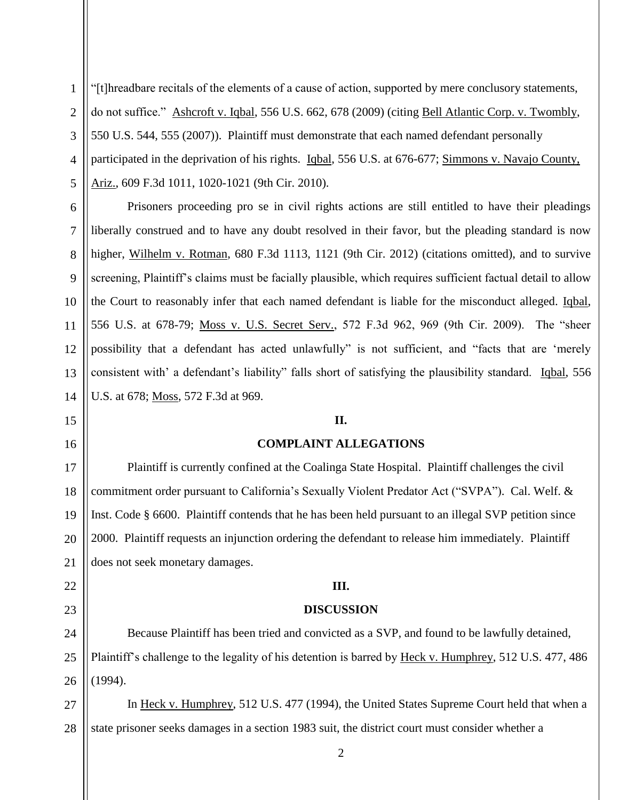1 2 3 4 5 "[t]hreadbare recitals of the elements of a cause of action, supported by mere conclusory statements, do not suffice." Ashcroft v. Iqbal, 556 U.S. 662, 678 (2009) (citing Bell Atlantic Corp. v. Twombly, 550 U.S. 544, 555 (2007)). Plaintiff must demonstrate that each named defendant personally participated in the deprivation of his rights. Iqbal, 556 U.S. at 676-677; Simmons v. Navajo County, Ariz., 609 F.3d 1011, 1020-1021 (9th Cir. 2010).

Prisoners proceeding pro se in civil rights actions are still entitled to have their pleadings liberally construed and to have any doubt resolved in their favor, but the pleading standard is now higher, Wilhelm v. Rotman, 680 F.3d 1113, 1121 (9th Cir. 2012) (citations omitted), and to survive screening, Plaintiff's claims must be facially plausible, which requires sufficient factual detail to allow the Court to reasonably infer that each named defendant is liable for the misconduct alleged. Iqbal, 556 U.S. at 678-79; Moss v. U.S. Secret Serv., 572 F.3d 962, 969 (9th Cir. 2009). The "sheer possibility that a defendant has acted unlawfully" is not sufficient, and "facts that are 'merely consistent with' a defendant's liability" falls short of satisfying the plausibility standard. Iqbal, 556 U.S. at 678; Moss, 572 F.3d at 969.

## **II.**

## **COMPLAINT ALLEGATIONS**

Plaintiff is currently confined at the Coalinga State Hospital. Plaintiff challenges the civil commitment order pursuant to California's Sexually Violent Predator Act ("SVPA"). Cal. Welf. & Inst. Code § 6600. Plaintiff contends that he has been held pursuant to an illegal SVP petition since 2000. Plaintiff requests an injunction ordering the defendant to release him immediately. Plaintiff does not seek monetary damages.

## **III.**

## **DISCUSSION**

Because Plaintiff has been tried and convicted as a SVP, and found to be lawfully detained, Plaintiff's challenge to the legality of his detention is barred by Heck v. Humphrey, 512 U.S. 477, 486 (1994).

27 28 In Heck v. Humphrey, 512 U.S. 477 (1994), the United States Supreme Court held that when a state prisoner seeks damages in a section 1983 suit, the district court must consider whether a

6

7

8

9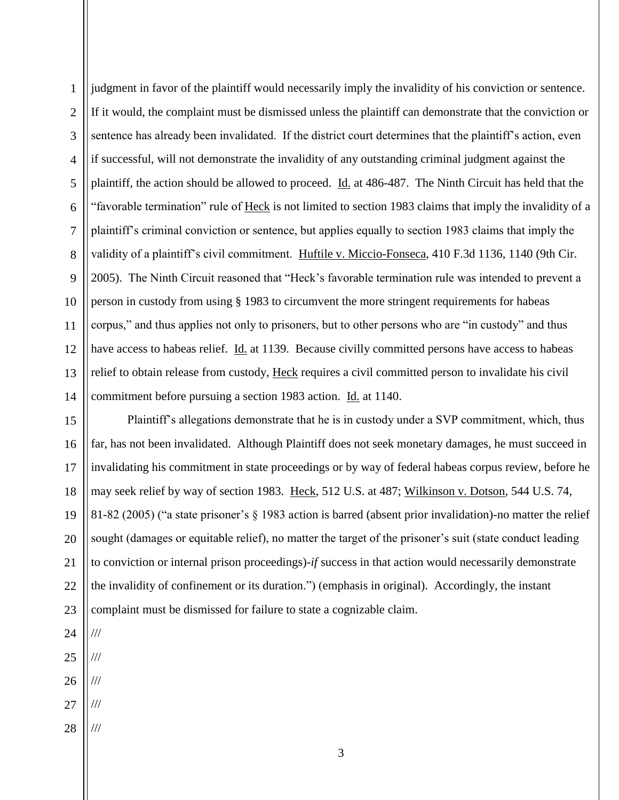1 2 3 4 5 6 7 8 9 10 11 12 13 14 judgment in favor of the plaintiff would necessarily imply the invalidity of his conviction or sentence. If it would, the complaint must be dismissed unless the plaintiff can demonstrate that the conviction or sentence has already been invalidated. If the district court determines that the plaintiff's action, even if successful, will not demonstrate the invalidity of any outstanding criminal judgment against the plaintiff, the action should be allowed to proceed. Id. at 486-487. The Ninth Circuit has held that the "favorable termination" rule of Heck is not limited to section 1983 claims that imply the invalidity of a plaintiff's criminal conviction or sentence, but applies equally to section 1983 claims that imply the validity of a plaintiff's civil commitment. Huftile v. Miccio-Fonseca, 410 F.3d 1136, 1140 (9th Cir. 2005). The Ninth Circuit reasoned that "Heck's favorable termination rule was intended to prevent a person in custody from using § 1983 to circumvent the more stringent requirements for habeas corpus," and thus applies not only to prisoners, but to other persons who are "in custody" and thus have access to habeas relief. Id. at 1139. Because civilly committed persons have access to habeas relief to obtain release from custody, Heck requires a civil committed person to invalidate his civil commitment before pursuing a section 1983 action. Id. at 1140.

15 16 17 18 19 20 21 22 23 Plaintiff's allegations demonstrate that he is in custody under a SVP commitment, which, thus far, has not been invalidated. Although Plaintiff does not seek monetary damages, he must succeed in invalidating his commitment in state proceedings or by way of federal habeas corpus review, before he may seek relief by way of section 1983. Heck, 512 U.S. at 487; Wilkinson v. Dotson, 544 U.S. 74, 81-82 (2005) ("a state prisoner's § 1983 action is barred (absent prior invalidation)-no matter the relief sought (damages or equitable relief), no matter the target of the prisoner's suit (state conduct leading to conviction or internal prison proceedings)-*if* success in that action would necessarily demonstrate the invalidity of confinement or its duration.") (emphasis in original). Accordingly, the instant complaint must be dismissed for failure to state a cognizable claim.

24

///

///

- 25 ///
- 26 ///
- 27
- 28 ///